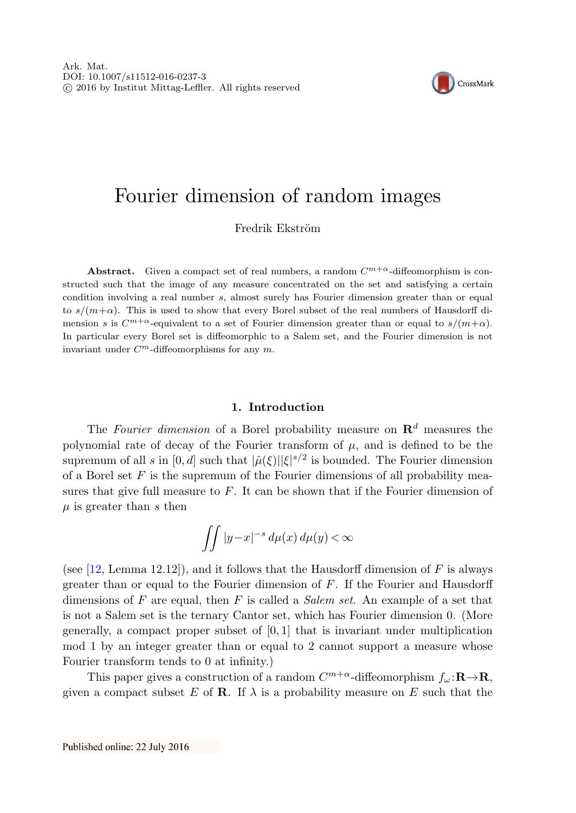

# Fourier dimension of random images

Fredrik Ekström

**Abstract.** Given a compact set of real numbers, a random  $C^{m+\alpha}$ -diffeomorphism is constructed such that the image of any measure concentrated on the set and satisfying a certain condition involving a real number s, almost surely has Fourier dimension greater than or equal to  $s/(m+\alpha)$ . This is used to show that every Borel subset of the real numbers of Hausdorff dimension s is  $C^{m+\alpha}$ -equivalent to a set of Fourier dimension greater than or equal to  $s/(m+\alpha)$ . In particular every Borel set is diffeomorphic to a Salem set, and the Fourier dimension is not invariant under  $C^m$ -diffeomorphisms for any  $m$ .

## **1. Introduction**

The Fourier dimension of a Borel probability measure on  $\mathbb{R}^d$  measures the polynomial rate of decay of the Fourier transform of  $\mu$ , and is defined to be the supremum of all s in  $[0, d]$  such that  $|\hat{\mu}(\xi)||\xi|^{s/2}$  is bounded. The Fourier dimension of a Borel set  $F$  is the supremum of the Fourier dimensions of all probability measures that give full measure to  $F$ . It can be shown that if the Fourier dimension of  $\mu$  is greater than s then

$$
\int\int |y-x|^{-s} \, d\mu(x) \, d\mu(y) < \infty
$$

(see [[12,](#page-16-0) Lemma 12.12]), and it follows that the Hausdorff dimension of  $F$  is always greater than or equal to the Fourier dimension of F. If the Fourier and Hausdorff dimensions of F are equal, then F is called a *Salem set*. An example of a set that is not a Salem set is the ternary Cantor set, which has Fourier dimension 0. (More generally, a compact proper subset of  $[0, 1]$  that is invariant under multiplication mod 1 by an integer greater than or equal to 2 cannot support a measure whose Fourier transform tends to 0 at infinity.)

This paper gives a construction of a random  $C^{m+\alpha}$ -diffeomorphism  $f_{\omega}$ :**R** $\rightarrow$ **R**, given a compact subset E of **R**. If  $\lambda$  is a probability measure on E such that the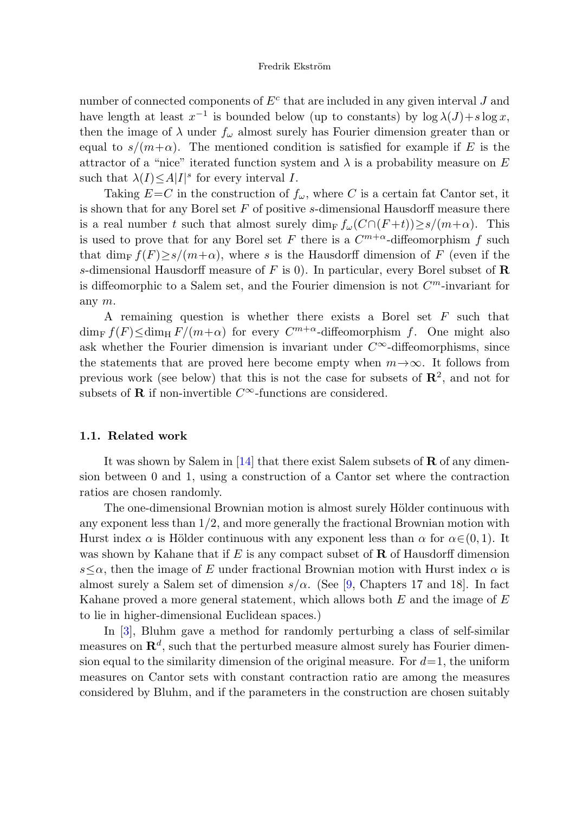number of connected components of  $E<sup>c</sup>$  that are included in any given interval J and have length at least  $x^{-1}$  is bounded below (up to constants) by  $\log \lambda(J)+s \log x$ , then the image of  $\lambda$  under  $f_{\omega}$  almost surely has Fourier dimension greater than or equal to  $s/(m+\alpha)$ . The mentioned condition is satisfied for example if E is the attractor of a "nice" iterated function system and  $\lambda$  is a probability measure on E such that  $\lambda(I) \leq A|I|^s$  for every interval I.

Taking  $E=C$  in the construction of  $f_{\omega}$ , where C is a certain fat Cantor set, it is shown that for any Borel set  $F$  of positive s-dimensional Hausdorff measure there is a real number t such that almost surely dim<sub>F</sub>  $f_{\omega}(C \cap (F+t)) \geq s/(m+\alpha)$ . This is used to prove that for any Borel set F there is a  $C^{m+\alpha}$ -diffeomorphism f such that dim<sub>F</sub>  $f(F) \ge s/(m+\alpha)$ , where s is the Hausdorff dimension of F (even if the s-dimensional Hausdorff measure of F is 0). In particular, every Borel subset of **R** is diffeomorphic to a Salem set, and the Fourier dimension is not  $C<sup>m</sup>$ -invariant for any m.

A remaining question is whether there exists a Borel set  $F$  such that  $\dim_F f(F) \leq \dim_H F/(m+\alpha)$  for every  $C^{m+\alpha}$ -diffeomorphism f. One might also ask whether the Fourier dimension is invariant under  $C^{\infty}$ -diffeomorphisms, since the statements that are proved here become empty when  $m\rightarrow\infty$ . It follows from previous work (see below) that this is not the case for subsets of  $\mathbb{R}^2$ , and not for subsets of **R** if non-invertible  $C^{\infty}$ -functions are considered.

# **1.1. Related work**

It was shown by Salem in [\[14](#page-16-1)] that there exist Salem subsets of **R** of any dimension between 0 and 1, using a construction of a Cantor set where the contraction ratios are chosen randomly.

The one-dimensional Brownian motion is almost surely Hölder continuous with any exponent less than  $1/2$ , and more generally the fractional Brownian motion with Hurst index  $\alpha$  is Hölder continuous with any exponent less than  $\alpha$  for  $\alpha \in (0, 1)$ . It was shown by Kahane that if E is any compact subset of **R** of Hausdorff dimension  $s\leq \alpha$ , then the image of E under fractional Brownian motion with Hurst index  $\alpha$  is almost surely a Salem set of dimension  $s/\alpha$ . (See [[9,](#page-16-2) Chapters 17 and 18]. In fact Kahane proved a more general statement, which allows both  $E$  and the image of  $E$ to lie in higher-dimensional Euclidean spaces.)

In [\[3](#page-16-3)], Bluhm gave a method for randomly perturbing a class of self-similar measures on  $\mathbb{R}^d$ , such that the perturbed measure almost surely has Fourier dimension equal to the similarity dimension of the original measure. For  $d=1$ , the uniform measures on Cantor sets with constant contraction ratio are among the measures considered by Bluhm, and if the parameters in the construction are chosen suitably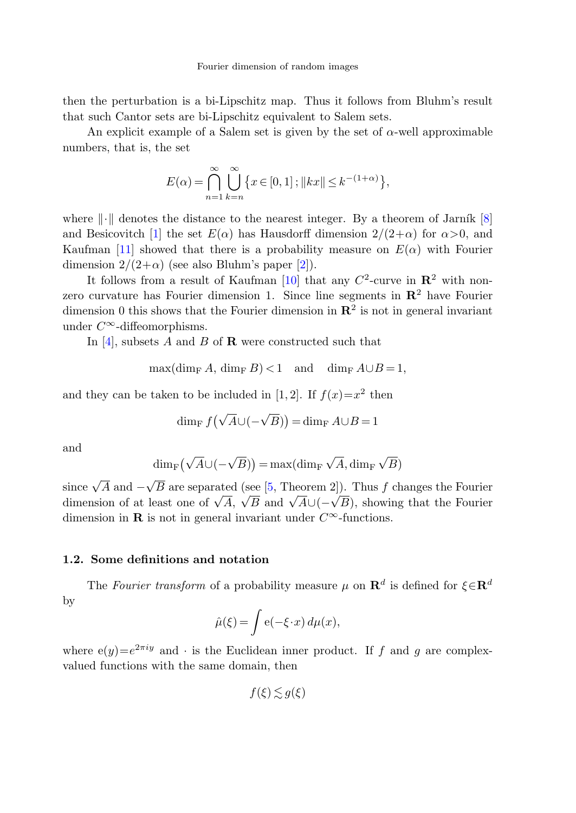then the perturbation is a bi-Lipschitz map. Thus it follows from Bluhm's result that such Cantor sets are bi-Lipschitz equivalent to Salem sets.

An explicit example of a Salem set is given by the set of  $\alpha$ -well approximable numbers, that is, the set

$$
E(\alpha) = \bigcap_{n=1}^{\infty} \bigcup_{k=n}^{\infty} \left\{ x \in [0,1] \, ; \, \|kx\| \le k^{-(1+\alpha)} \right\},\,
$$

where  $\|\cdot\|$  denotes the distance to the nearest integer. By a theorem of Jarník [[8\]](#page-16-4) and Besicovitch [[1\]](#page-16-5) the set  $E(\alpha)$  has Hausdorff dimension  $2/(2+\alpha)$  for  $\alpha > 0$ , and Kaufman [[11\]](#page-16-6) showed that there is a probability measure on  $E(\alpha)$  with Fourier dimension  $2/(2+\alpha)$  (see also Bluhm's paper [[2\]](#page-16-7)).

It follows from a result of Kaufman [\[10](#page-16-8)] that any  $C^2$ -curve in  $\mathbb{R}^2$  with nonzero curvature has Fourier dimension 1. Since line segments in **R**<sup>2</sup> have Fourier dimension 0 this shows that the Fourier dimension in  $\mathbb{R}^2$  is not in general invariant under  $C^{\infty}$ -diffeomorphisms.

In  $[4]$  $[4]$ , subsets A and B of **R** were constructed such that

$$
\max(\dim_{\mathrm{F}} A, \dim_{\mathrm{F}} B) < 1 \quad \text{and} \quad \dim_{\mathrm{F}} A \cup B = 1,
$$

and they can be taken to be included in [1, 2]. If  $f(x)=x^2$  then

$$
\dim_{\mathrm{F}} f\left(\sqrt{A}\cup(-\sqrt{B})\right) = \dim_{\mathrm{F}} A \cup B = 1
$$

and

$$
\dim_{\mathrm{F}}\left(\sqrt{A}\cup (-\sqrt{B})\right)=\max(\dim_{\mathrm{F}}\sqrt{A},\dim_{\mathrm{F}}\sqrt{B})
$$

since  $\sqrt{A}$  and  $-$ √ B are separated (see [[5,](#page-16-10) Theorem 2]). Thus f changes the Fourier since  $\sqrt{A}$  and  $-\sqrt{D}$  are separated (see [0, 1 hebrem 2]). Thus f changes the Fourier dimension of at least one of  $\sqrt{A}$ ,  $\sqrt{B}$  and  $\sqrt{A} \cup (-\sqrt{B})$ , showing that the Fourier dimension in **R** is not in general invariant under  $C^{\infty}$ -functions.

## **1.2. Some definitions and notation**

The Fourier transform of a probability measure  $\mu$  on  $\mathbb{R}^d$  is defined for  $\xi \in \mathbb{R}^d$ by

$$
\hat{\mu}(\xi) = \int e(-\xi \cdot x) d\mu(x),
$$

where  $e(y)=e^{2\pi iy}$  and  $\cdot$  is the Euclidean inner product. If f and g are complexvalued functions with the same domain, then

 $f(\xi) \lesssim g(\xi)$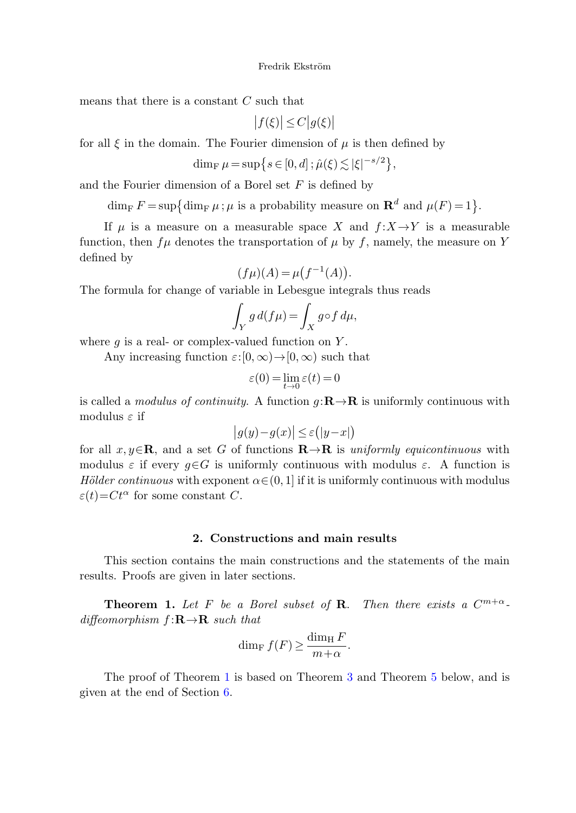means that there is a constant  $C$  such that

$$
\big|f(\xi)\big|\leq C\big|g(\xi)\big|
$$

for all  $\xi$  in the domain. The Fourier dimension of  $\mu$  is then defined by

$$
\dim_{\mathrm{F}} \mu = \sup \big\{ s \in [0, d] \, ; \hat{\mu}(\xi) \lesssim |\xi|^{-s/2} \big\},
$$

and the Fourier dimension of a Borel set  $F$  is defined by

 $\dim_{\text{F}} F = \sup \{ \dim_{\text{F}} \mu : \mu \text{ is a probability measure on } \mathbb{R}^d \text{ and } \mu(F) = 1 \}.$ 

If  $\mu$  is a measure on a measurable space X and  $f: X \rightarrow Y$  is a measurable function, then  $f\mu$  denotes the transportation of  $\mu$  by f, namely, the measure on Y defined by

$$
(f\mu)(A) = \mu\big(f^{-1}(A)\big).
$$

The formula for change of variable in Lebesgue integrals thus reads

$$
\int_Y g \, d(f\mu) = \int_X g \circ f \, d\mu,
$$

where  $q$  is a real- or complex-valued function on Y.

Any increasing function  $\varepsilon:[0,\infty)\to[0,\infty)$  such that

$$
\varepsilon(0) = \lim_{t \to 0} \varepsilon(t) = 0
$$

is called a modulus of continuity. A function  $q: \mathbb{R} \to \mathbb{R}$  is uniformly continuous with modulus  $\varepsilon$  if

$$
|g(y)-g(x)| \leq \varepsilon (|y-x|)
$$

<span id="page-3-0"></span>for all  $x, y \in \mathbf{R}$ , and a set G of functions  $\mathbf{R} \to \mathbf{R}$  is uniformly equicontinuous with modulus  $\varepsilon$  if every  $q \in G$  is uniformly continuous with modulus  $\varepsilon$ . A function is Hölder continuous with exponent  $\alpha \in (0, 1]$  if it is uniformly continuous with modulus  $\varepsilon(t)$ = $Ct^{\alpha}$  for some constant C.

# **2. Constructions and main results**

This section contains the main constructions and the statements of the main results. Proofs are given in later sections.

**Theorem 1.** Let F be a Borel subset of **R**. Then there exists a  $C^{m+\alpha}$ diffeomorphism  $f: \mathbf{R} \to \mathbf{R}$  such that

$$
\dim_{\mathrm{F}} f(F) \ge \frac{\dim_{\mathrm{H}} F}{m + \alpha}.
$$

The proof of Theorem [1](#page-3-0) is based on Theorem [3](#page-4-0) and Theorem [5](#page-5-0) below, and is given at the end of Section [6.](#page-12-0)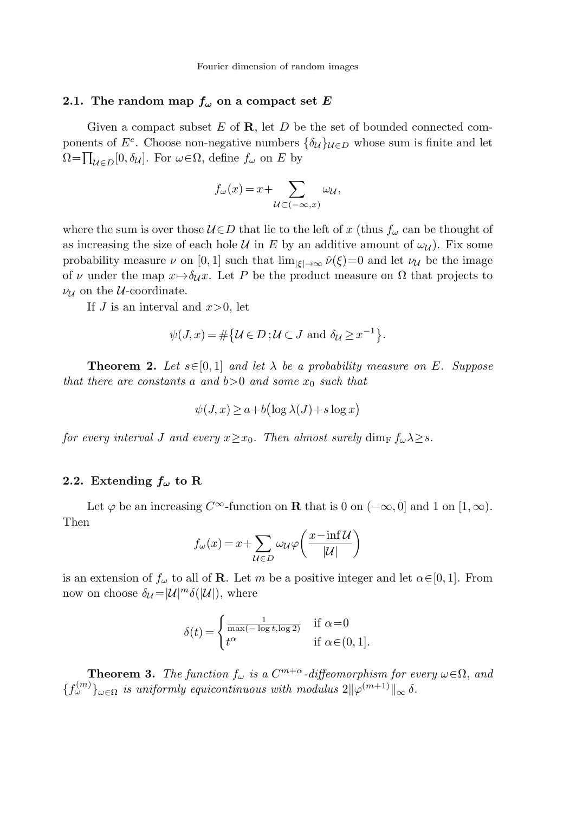## **2.1.** The random map  $f_{\omega}$  on a compact set *E*

Given a compact subset E of **R**, let D be the set of bounded connected components of  $E^c$ . Choose non-negative numbers  $\{\delta_{\mathcal{U}}\}_{\mathcal{U}\in D}$  whose sum is finite and let  $\Omega = \prod_{\mathcal{U} \in D} [0, \delta_{\mathcal{U}}]$ . For  $\omega \in \Omega$ , define  $f_{\omega}$  on E by

$$
f_{\omega}(x) = x + \sum_{\mathcal{U} \subset (-\infty, x)} \omega_{\mathcal{U}},
$$

<span id="page-4-1"></span>where the sum is over those  $U \in D$  that lie to the left of x (thus  $f_{\omega}$  can be thought of as increasing the size of each hole U in E by an additive amount of  $\omega_{\mathcal{U}}$ ). Fix some probability measure  $\nu$  on [0, 1] such that  $\lim_{|\xi| \to \infty} \hat{\nu}(\xi) = 0$  and let  $\nu_{\mathcal{U}}$  be the image of v under the map  $x \mapsto \delta_{\mathcal{U}} x$ . Let P be the product measure on  $\Omega$  that projects to  $\nu_{\mathcal{U}}$  on the *U*-coordinate.

If J is an interval and  $x>0$ , let

$$
\psi(J, x) = \# \{ \mathcal{U} \in D : \mathcal{U} \subset J \text{ and } \delta_{\mathcal{U}} \ge x^{-1} \}.
$$

<span id="page-4-2"></span>**Theorem 2.** Let  $s \in [0, 1]$  and let  $\lambda$  be a probability measure on E. Suppose that there are constants a and  $b>0$  and some  $x_0$  such that

$$
\psi(J, x) \ge a + b(\log \lambda(J) + s \log x)
$$

for every interval J and every  $x \geq x_0$ . Then almost surely dim<sub>F</sub>  $f_{\omega} \lambda \geq s$ .

# **2.2.** Extending  $f_{\omega}$  to R

Let  $\varphi$  be an increasing  $C^{\infty}$ -function on **R** that is 0 on  $(-\infty, 0]$  and 1 on  $[1, \infty)$ . Then

$$
f_{\omega}(x) = x + \sum_{\mathcal{U} \in D} \omega_{\mathcal{U}} \varphi \left( \frac{x - \inf \mathcal{U}}{|\mathcal{U}|} \right)
$$

<span id="page-4-0"></span>is an extension of  $f_{\omega}$  to all of **R**. Let m be a positive integer and let  $\alpha \in [0, 1]$ . From now on choose  $\delta_{\mathcal{U}} = |\mathcal{U}|^m \delta(|\mathcal{U}|)$ , where

$$
\delta(t) = \begin{cases} \frac{1}{\max(-\log t, \log 2)} & \text{if } \alpha = 0\\ t^{\alpha} & \text{if } \alpha \in (0, 1]. \end{cases}
$$

**Theorem 3.** The function  $f_{\omega}$  is a  $C^{m+\alpha}$ -diffeomorphism for every  $\omega \in \Omega$ , and  ${f(\mathcal{L}^{(m)})_{\omega \in \Omega}}$  is uniformly equicontinuous with modulus  $2\|\varphi^{(m+1)}\|_{\infty}$   $\delta$ .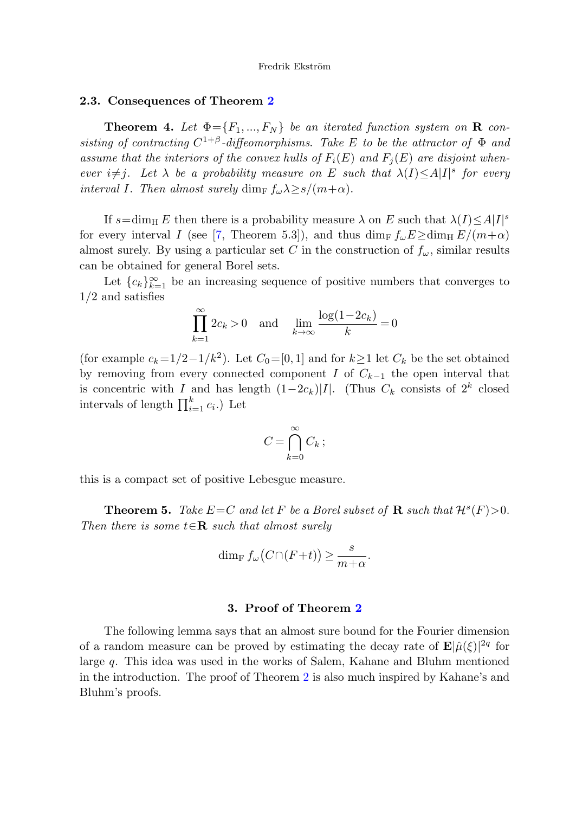#### <span id="page-5-1"></span>**2.3. Consequences of Theorem [2](#page-4-1)**

**Theorem 4.** Let  $\Phi = \{F_1, ..., F_N\}$  be an iterated function system on **R** consisting of contracting  $C^{1+\beta}$ -diffeomorphisms. Take E to be the attractor of  $\Phi$  and assume that the interiors of the convex hulls of  $F_i(E)$  and  $F_j(E)$  are disjoint whenever  $i \neq j$ . Let  $\lambda$  be a probability measure on E such that  $\lambda(I) \leq A|I|$ <sup>s</sup> for every interval I. Then almost surely dim<sub>F</sub>  $f_{\omega} \lambda \geq s/(m+\alpha)$ .

If  $s = \dim_{\mathrm{H}} E$  then there is a probability measure  $\lambda$  on E such that  $\lambda(I) \leq A|I|^s$ for every interval I (see [[7,](#page-16-11) Theorem 5.3]), and thus  $\dim_{\mathrm{F}} f_{\omega} E \geq \dim_{\mathrm{H}} E/(m+\alpha)$ almost surely. By using a particular set C in the construction of  $f_{\omega}$ , similar results can be obtained for general Borel sets.

Let  ${c_k}_{k=1}^{\infty}$  be an increasing sequence of positive numbers that converges to 1/2 and satisfies

$$
\prod_{k=1}^{\infty} 2c_k > 0 \quad \text{and} \quad \lim_{k \to \infty} \frac{\log(1 - 2c_k)}{k} = 0
$$

<span id="page-5-0"></span>(for example  $c_k=1/2-1/k^2$ ). Let  $C_0=[0,1]$  and for  $k\geq 1$  let  $C_k$  be the set obtained by removing from every connected component I of  $C_{k-1}$  the open interval that is concentric with I and has length  $(1-2c_k)|I|$ . (Thus  $C_k$  consists of  $2^k$  closed intervals of length  $\prod_{i=1}^{k} c_i$ . Let

$$
C = \bigcap_{k=0}^{\infty} C_k ;
$$

this is a compact set of positive Lebesgue measure.

**Theorem 5.** Take  $E=C$  and let F be a Borel subset of **R** such that  $\mathcal{H}^s(F) > 0$ . Then there is some  $t \in \mathbb{R}$  such that almost surely

$$
\dim_{\mathrm{F}} f_{\omega}(C \cap (F+t)) \ge \frac{s}{m+\alpha}.
$$

# **3. Proof of Theorem [2](#page-4-1)**

The following lemma says that an almost sure bound for the Fourier dimension of a random measure can be proved by estimating the decay rate of  $\mathbf{E}|\hat{\mu}(\xi)|^{2q}$  for large q. This idea was used in the works of Salem, Kahane and Bluhm mentioned in the introduction. The proof of Theorem [2](#page-4-1) is also much inspired by Kahane's and Bluhm's proofs.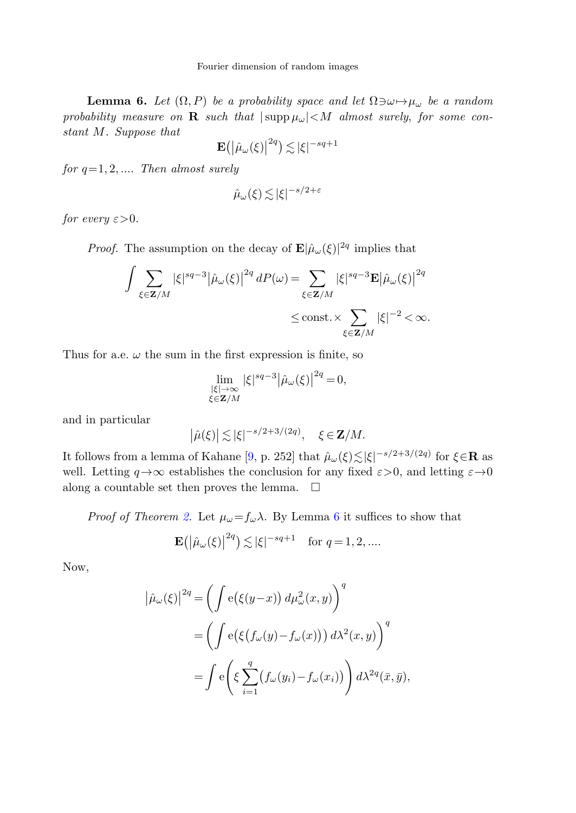<span id="page-6-0"></span>**Lemma 6.** Let  $(\Omega, P)$  be a probability space and let  $\Omega \ni \omega \mapsto \mu_{\omega}$  be a random probability measure on **R** such that  $|\text{supp }\mu_\omega| < M$  almost surely, for some constant M. Suppose that

$$
\mathbf{E}(|\hat{\mu}_{\omega}(\xi)|^{2q}) \lesssim |\xi|^{-sq+1}
$$

for  $q=1, 2, \ldots$  Then almost surely

$$
\hat{\mu}_{\omega}(\xi) \lesssim |\xi|^{-s/2+\varepsilon}
$$

for every  $\varepsilon > 0$ .

*Proof.* The assumption on the decay of  $\mathbf{E}|\hat{\mu}_{\omega}(\xi)|^{2q}$  implies that

$$
\int \sum_{\xi \in \mathbf{Z}/M} |\xi|^{sq-3} |\hat{\mu}_{\omega}(\xi)|^{2q} dP(\omega) = \sum_{\xi \in \mathbf{Z}/M} |\xi|^{sq-3} \mathbf{E} |\hat{\mu}_{\omega}(\xi)|^{2q} \le \text{const.} \times \sum_{\xi \in \mathbf{Z}/M} |\xi|^{-2} < \infty.
$$

Thus for a.e.  $\omega$  the sum in the first expression is finite, so

$$
\lim_{\substack{|\xi| \to \infty \\ \xi \in \mathbf{Z}/M}} |\xi|^{sq-3} |\hat{\mu}_{\omega}(\xi)|^{2q} = 0,
$$

and in particular

$$
\left|\hat{\mu}(\xi)\right| \lesssim |\xi|^{-s/2+3/(2q)}, \quad \xi \in \mathbf{Z}/M.
$$

It follows from a lemma of Kahane [\[9](#page-16-2), p. 252] that  $\hat{\mu}_{\omega}(\xi) \lesssim |\xi|^{-s/2+3/(2q)}$  for  $\xi \in \mathbf{R}$  as well. Letting  $q \rightarrow \infty$  establishes the conclusion for any fixed  $\varepsilon > 0$ , and letting  $\varepsilon \rightarrow 0$ along a countable set then proves the lemma.  $\Box$ 

*Proof of Theorem [2.](#page-4-1)* Let  $\mu_{\omega} = f_{\omega} \lambda$ . By Lemma [6](#page-6-0) it suffices to show that

$$
\mathbf{E}(|\hat{\mu}_{\omega}(\xi)|^{2q}) \lesssim |\xi|^{-sq+1} \quad \text{for } q = 1, 2, \dots
$$

Now,

$$
\left| \hat{\mu}_{\omega}(\xi) \right|^{2q} = \left( \int e(\xi(y-x)) d\mu_{\omega}^{2}(x, y) \right)^{q}
$$

$$
= \left( \int e(\xi(f_{\omega}(y) - f_{\omega}(x))) d\lambda^{2}(x, y) \right)^{q}
$$

$$
= \int e\left( \xi \sum_{i=1}^{q} (f_{\omega}(y_{i}) - f_{\omega}(x_{i})) \right) d\lambda^{2q}(\bar{x}, \bar{y}),
$$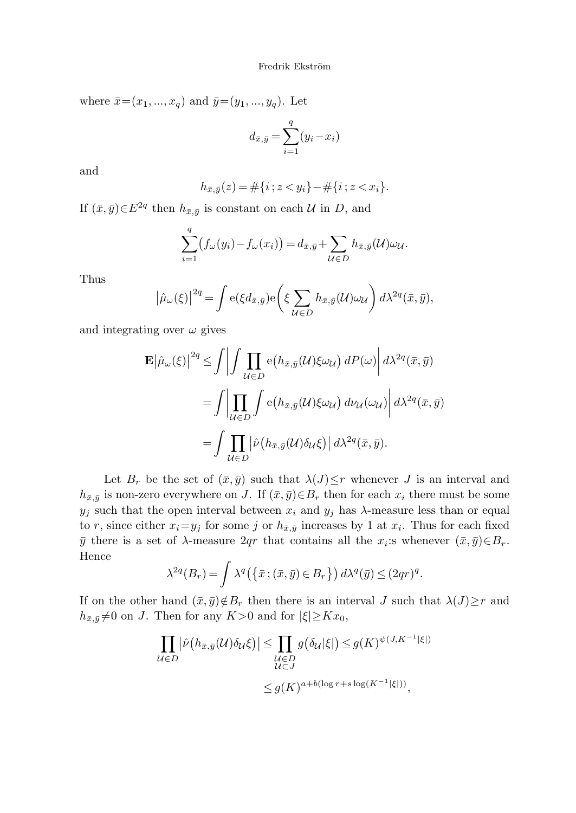where  $\bar{x}=(x_1, ..., x_q)$  and  $\bar{y}=(y_1, ..., y_q)$ . Let

$$
d_{\bar{x},\bar{y}} = \sum_{i=1}^{q} (y_i - x_i)
$$

and

$$
h_{\bar{x},\bar{y}}(z) = \#\{i \; ; \; z < y_i\} - \#\{i \; ; \; z < x_i\}.
$$

If  $(\bar{x}, \bar{y}) \in E^{2q}$  then  $h_{\bar{x}, \bar{y}}$  is constant on each  $\mathcal{U}$  in D, and

$$
\sum_{i=1}^q (f_\omega(y_i) - f_\omega(x_i)) = d_{\bar{x},\bar{y}} + \sum_{\mathcal{U} \in D} h_{\bar{x},\bar{y}}(\mathcal{U}) \omega_{\mathcal{U}}.
$$

Thus

$$
\left|\hat{\mu}_{\omega}(\xi)\right|^{2q} = \int e(\xi d_{\bar{x},\bar{y}}) e\left(\xi \sum_{\mathcal{U}\in D} h_{\bar{x},\bar{y}}(\mathcal{U})\omega_{\mathcal{U}}\right) d\lambda^{2q}(\bar{x},\bar{y}),
$$

and integrating over  $\omega$  gives

$$
\mathbf{E} |\hat{\mu}_{\omega}(\xi)|^{2q} \leq \int \left| \int \prod_{\mathcal{U} \in D} e(h_{\bar{x},\bar{y}}(\mathcal{U}) \xi \omega_{\mathcal{U}}) dP(\omega) \right| d\lambda^{2q}(\bar{x},\bar{y})
$$
  
= 
$$
\int \left| \prod_{\mathcal{U} \in D} \int e(h_{\bar{x},\bar{y}}(\mathcal{U}) \xi \omega_{\mathcal{U}}) d\nu_{\mathcal{U}}(\omega_{\mathcal{U}}) \right| d\lambda^{2q}(\bar{x},\bar{y})
$$
  
= 
$$
\int \prod_{\mathcal{U} \in D} \left| \hat{\nu} (h_{\bar{x},\bar{y}}(\mathcal{U}) \delta_{\mathcal{U}} \xi) \right| d\lambda^{2q}(\bar{x},\bar{y}).
$$

Let  $B_r$  be the set of  $(\bar{x}, \bar{y})$  such that  $\lambda(J) \leq r$  whenever J is an interval and  $h_{\bar{x}, \bar{y}}$  is non-zero everywhere on J. If  $(\bar{x}, \bar{y}) \in B_r$  then for each  $x_i$  there must be some  $y_j$  such that the open interval between  $x_i$  and  $y_j$  has  $\lambda$ -measure less than or equal to r, since either  $x_i=y_j$  for some j or  $h_{\bar{x},\bar{y}}$  increases by 1 at  $x_i$ . Thus for each fixed  $\bar{y}$  there is a set of  $\lambda$ -measure 2qr that contains all the  $x_i$ :s whenever  $(\bar{x}, \bar{y}) \in B_r$ . Hence

$$
\lambda^{2q}(B_r) = \int \lambda^q(\{\bar{x}; (\bar{x}, \bar{y}) \in B_r\}) d\lambda^q(\bar{y}) \leq (2qr)^q.
$$

If on the other hand  $(\bar{x}, \bar{y}) \notin B_r$  then there is an interval J such that  $\lambda(J) \geq r$  and  $h_{\bar{x},\bar{y}}\neq 0$  on J. Then for any  $K>0$  and for  $|\xi|\geq Kx_0$ ,

$$
\prod_{\mathcal{U}\in D} |\hat{\nu}(h_{\bar{x},\bar{y}}(\mathcal{U})\delta_{\mathcal{U}}\xi)| \leq \prod_{\substack{\mathcal{U}\in D \\ \mathcal{U}\subset J}} g(\delta_{\mathcal{U}}|\xi|) \leq g(K)^{\psi(J,K^{-1}|\xi|)}
$$
  

$$
\leq g(K)^{a+b(\log r+s\log(K^{-1}|\xi|))},
$$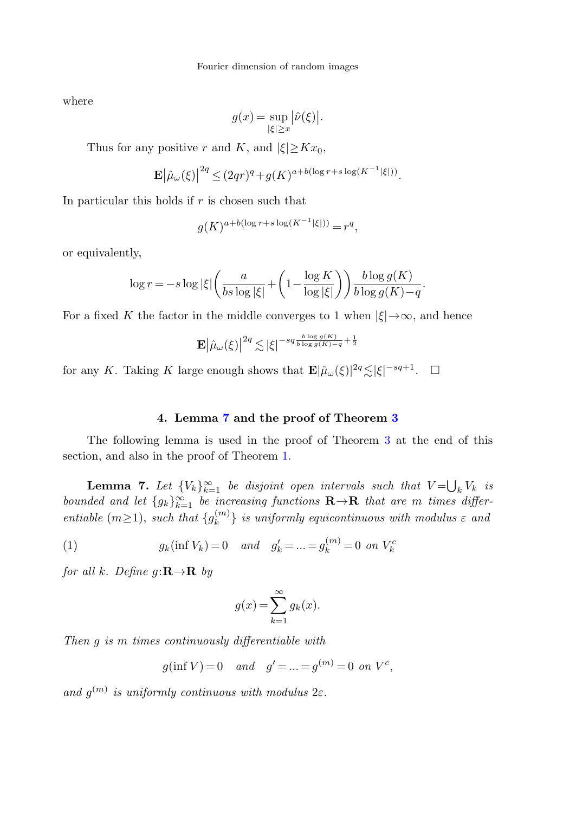where

$$
g(x) = \sup_{|\xi| \ge x} |\hat{\nu}(\xi)|.
$$

Thus for any positive r and K, and  $|\xi| > Kx_0$ ,

$$
\mathbf{E} \left| \hat{\mu}_{\omega}(\xi) \right|^{2q} \leq (2qr)^q + g(K)^{a+b(\log r+s\log(K^{-1}|\xi|))}.
$$

In particular this holds if  $r$  is chosen such that

$$
g(K)^{a+b(\log r+s\log(K^{-1}|\xi|))} = r^q,
$$

or equivalently,

$$
\log r = -s \log |\xi| \left( \frac{a}{bs \log |\xi|} + \left( 1 - \frac{\log K}{\log |\xi|} \right) \right) \frac{b \log g(K)}{b \log g(K) - q}.
$$

For a fixed K the factor in the middle converges to 1 when  $|\xi| \rightarrow \infty$ , and hence

$$
\mathbf{E} \left| \hat{\mu}_{\omega}(\xi) \right|^{2q} \lesssim |\xi|^{-sq\frac{b \log g(K)}{b \log g(K)-q}+\frac{1}{2}}
$$

<span id="page-8-0"></span>for any K. Taking K large enough shows that  $\mathbf{E}|\hat{\mu}_{\omega}(\xi)|^{2q} \lesssim |\xi|^{-sq+1}$ .  $\Box$ 

# **4. Lemma [7](#page-8-0) and the proof of Theorem [3](#page-4-0)**

<span id="page-8-1"></span>The following lemma is used in the proof of Theorem [3](#page-4-0) at the end of this section, and also in the proof of Theorem [1](#page-3-0).

**Lemma 7.** Let  ${V_k}_{k=1}^{\infty}$  be disjoint open intervals such that  $V = \bigcup_k V_k$  is bounded and let  $\{g_k\}_{k=1}^{\infty}$  be increasing functions  $\mathbf{R}\to\mathbf{R}$  that are m times differentiable  $(m \geq 1)$ , such that  $\{g_k^{(m)}\}\$ is uniformly equicontinuous with modulus  $\varepsilon$  and

(1) 
$$
g_k(\inf V_k) = 0
$$
 and  $g'_k = ... = g_k^{(m)} = 0$  on  $V_k^c$ 

for all k. Define  $g: \mathbf{R} \to \mathbf{R}$  by

$$
g(x) = \sum_{k=1}^{\infty} g_k(x).
$$

Then g is m times continuously differentiable with

$$
g(\inf V) = 0
$$
 and  $g' = ... = g^{(m)} = 0$  on  $V^c$ ,

and  $g^{(m)}$  is uniformly continuous with modulus  $2\varepsilon$ .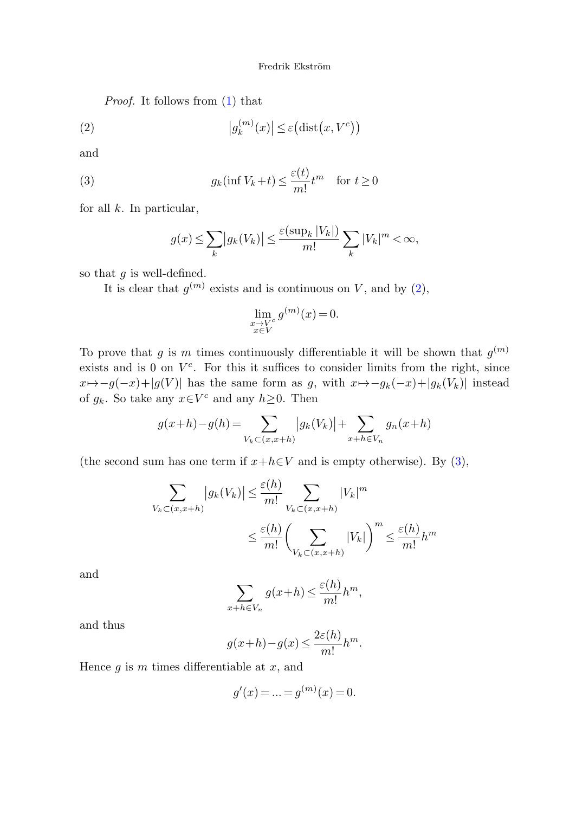<span id="page-9-0"></span>Proof. It follows from [\(1](#page-8-1)) that

<span id="page-9-1"></span>(2) 
$$
|g_k^{(m)}(x)| \leq \varepsilon \big(\text{dist}\big(x, V^c\big)\big)
$$

and

(3) 
$$
g_k(\inf V_k + t) \le \frac{\varepsilon(t)}{m!} t^m \quad \text{for } t \ge 0
$$

for all  $k$ . In particular,

$$
g(x) \le \sum_{k} |g_k(V_k)| \le \frac{\varepsilon(\sup_k |V_k|)}{m!} \sum_{k} |V_k|^m < \infty,
$$

so that  $g$  is well-defined.

It is clear that  $g^{(m)}$  exists and is continuous on V, and by ([2\)](#page-9-0),

$$
\lim_{\substack{x \to V^c \\ x \in V}} g^{(m)}(x) = 0.
$$

To prove that g is m times continuously differentiable it will be shown that  $g^{(m)}$ exists and is 0 on  $V<sup>c</sup>$ . For this it suffices to consider limits from the right, since  $x \mapsto -g(-x)+|g(V)|$  has the same form as g, with  $x \mapsto -g_k(-x)+|g_k(V_k)|$  instead of  $g_k$ . So take any  $x \in V^c$  and any  $h \geq 0$ . Then

$$
g(x+h) - g(h) = \sum_{V_k \subset (x,x+h)} |g_k(V_k)| + \sum_{x+h \in V_n} g_n(x+h)
$$

(the second sum has one term if  $x+h\in V$  and is empty otherwise). By [\(3](#page-9-1)),

$$
\sum_{V_k \subset (x, x+h)} |g_k(V_k)| \le \frac{\varepsilon(h)}{m!} \sum_{V_k \subset (x, x+h)} |V_k|^m
$$
  

$$
\le \frac{\varepsilon(h)}{m!} \left(\sum_{V_k \subset (x, x+h)} |V_k|\right)^m \le \frac{\varepsilon(h)}{m!} h^m
$$

and

$$
\sum_{x+h\in V_n} g(x+h) \le \frac{\varepsilon(h)}{m!}h^m,
$$

and thus

$$
g(x+h) - g(x) \le \frac{2\varepsilon(h)}{m!}h^m.
$$

Hence  $q$  is  $m$  times differentiable at  $x$ , and

$$
g'(x) = \ldots = g^{(m)}(x) = 0.
$$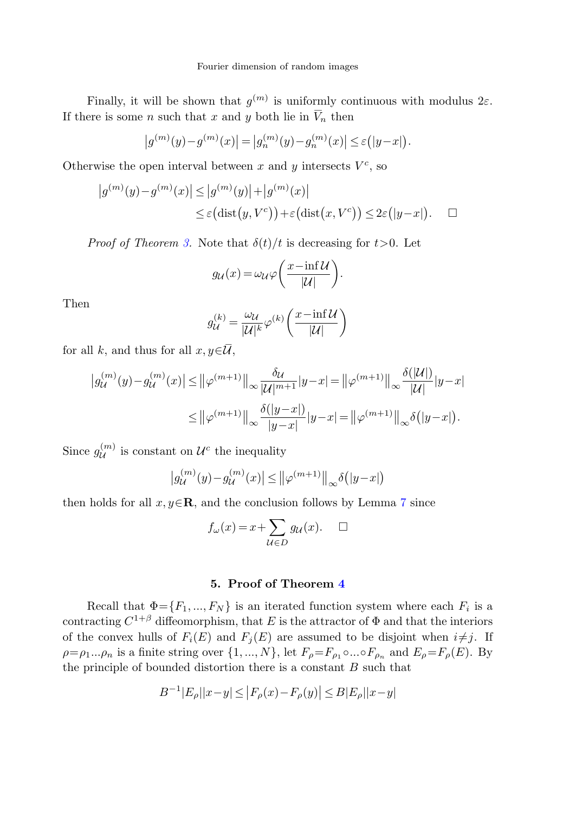Finally, it will be shown that  $q^{(m)}$  is uniformly continuous with modulus  $2\varepsilon$ . If there is some *n* such that  $x$  and  $y$  both lie in  $V_n$  then

$$
|g^{(m)}(y) - g^{(m)}(x)| = |g_n^{(m)}(y) - g_n^{(m)}(x)| \le \varepsilon (|y - x|).
$$

Otherwise the open interval between x and y intersects  $V^c$ , so

$$
|g^{(m)}(y) - g^{(m)}(x)| \le |g^{(m)}(y)| + |g^{(m)}(x)|
$$
  
\n
$$
\le \varepsilon \big(\text{dist}(y, V^c)\big) + \varepsilon \big(\text{dist}(x, V^c)\big) \le 2\varepsilon \big(|y - x|\big). \quad \Box
$$

*Proof of Theorem [3.](#page-4-0)* Note that  $\delta(t)/t$  is decreasing for  $t>0$ . Let

$$
g_{\mathcal{U}}(x) = \omega_{\mathcal{U}} \varphi \bigg( \frac{x - \inf \mathcal{U}}{|\mathcal{U}|} \bigg).
$$

Then

$$
g_{\mathcal{U}}^{(k)} = \frac{\omega_{\mathcal{U}}}{|\mathcal{U}|^k} \varphi^{(k)} \left( \frac{x - \inf \mathcal{U}}{|\mathcal{U}|} \right)
$$

for all k, and thus for all  $x, y \in \mathcal{U}$ ,

$$
\begin{aligned} \left| g_{\mathcal{U}}^{(m)}(y) - g_{\mathcal{U}}^{(m)}(x) \right| &\leq \left\| \varphi^{(m+1)} \right\|_{\infty} \frac{\delta_{\mathcal{U}}}{|\mathcal{U}|^{m+1}} |y - x| = \left\| \varphi^{(m+1)} \right\|_{\infty} \frac{\delta(|\mathcal{U}|)}{|\mathcal{U}|} |y - x| \\ &\leq \left\| \varphi^{(m+1)} \right\|_{\infty} \frac{\delta(|y - x|)}{|y - x|} |y - x| = \left\| \varphi^{(m+1)} \right\|_{\infty} \delta(|y - x|). \end{aligned}
$$

Since  $g_{\mathcal{U}}^{(m)}$  is constant on  $\mathcal{U}^c$  the inequality

$$
\left|g_{\mathcal{U}}^{(m)}(y) - g_{\mathcal{U}}^{(m)}(x)\right| \le \left\|\varphi^{(m+1)}\right\|_{\infty} \delta\big(|y-x|\big)
$$

then holds for all  $x, y \in \mathbb{R}$ , and the conclusion follows by Lemma [7](#page-8-0) since

$$
f_{\omega}(x) = x + \sum_{\mathcal{U} \in D} g_{\mathcal{U}}(x). \quad \Box
$$

# **5. Proof of Theorem [4](#page-5-1)**

Recall that  $\Phi = \{F_1, ..., F_N\}$  is an iterated function system where each  $F_i$  is a contracting  $C^{1+\beta}$  diffeomorphism, that E is the attractor of  $\Phi$  and that the interiors of the convex hulls of  $F_i(E)$  and  $F_j(E)$  are assumed to be disjoint when  $i \neq j$ . If  $\rho=\rho_1...\rho_n$  is a finite string over  $\{1,...,N\}$ , let  $F_\rho=F_{\rho_1}\circ...\circ F_{\rho_n}$  and  $E_\rho=F_\rho(E)$ . By the principle of bounded distortion there is a constant  $B$  such that

$$
|B^{-1}|E_{\rho}||x-y| \le |F_{\rho}(x) - F_{\rho}(y)| \le B|E_{\rho}||x-y|
$$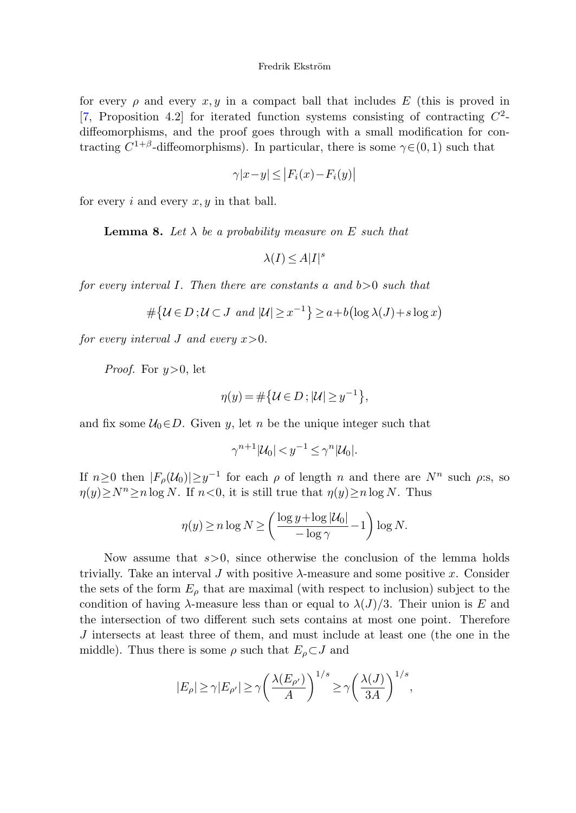<span id="page-11-0"></span>for every  $\rho$  and every  $x, y$  in a compact ball that includes E (this is proved in [\[7](#page-16-11), Proposition 4.2] for iterated function systems consisting of contracting  $C^2$ diffeomorphisms, and the proof goes through with a small modification for contracting  $C^{1+\beta}$ -diffeomorphisms). In particular, there is some  $\gamma \in (0,1)$  such that

$$
\gamma |x - y| \le |F_i(x) - F_i(y)|
$$

for every i and every  $x, y$  in that ball.

**Lemma 8.** Let  $\lambda$  be a probability measure on E such that

$$
\lambda(I) \le A|I|^s
$$

for every interval I. Then there are constants a and  $b > 0$  such that

$$
\#\{\mathcal{U}\in D\;;\mathcal{U}\subset J\;\;and\;\mathcal{|U|}\geq x^{-1}\}\geq a+b\left(\log\lambda(J)+s\log x\right)
$$

for every interval J and every  $x > 0$ .

*Proof.* For  $y>0$ , let

$$
\eta(y) = \#\big\{ \mathcal{U} \in D \, ; \, |\mathcal{U}| \geq y^{-1} \big\},\
$$

and fix some  $U_0 \in D$ . Given y, let n be the unique integer such that

$$
\gamma^{n+1}|\mathcal{U}_0| < y^{-1} \le \gamma^n |\mathcal{U}_0|.
$$

If  $n \geq 0$  then  $|F_{\rho}(\mathcal{U}_0)| \geq y^{-1}$  for each  $\rho$  of length n and there are  $N^n$  such  $\rho$ :s, so  $\eta(y)\geq N^{n}\geq n\log N$ . If  $n<0$ , it is still true that  $\eta(y)\geq n\log N$ . Thus

$$
\eta(y) \ge n \log N \ge \left(\frac{\log y + \log |\mathcal{U}_0|}{-\log \gamma} - 1\right) \log N.
$$

Now assume that  $s>0$ , since otherwise the conclusion of the lemma holds trivially. Take an interval J with positive  $\lambda$ -measure and some positive x. Consider the sets of the form  $E_{\rho}$  that are maximal (with respect to inclusion) subject to the condition of having  $\lambda$ -measure less than or equal to  $\lambda(J)/3$ . Their union is E and the intersection of two different such sets contains at most one point. Therefore J intersects at least three of them, and must include at least one (the one in the middle). Thus there is some  $\rho$  such that  $E_{\rho} \subset J$  and

$$
|E_\rho|\geq \gamma |E_{\rho'}|\geq \gamma \bigg(\frac{\lambda(E_{\rho'})}{A}\bigg)^{1/s} \geq \gamma \bigg(\frac{\lambda(J)}{3A}\bigg)^{1/s},
$$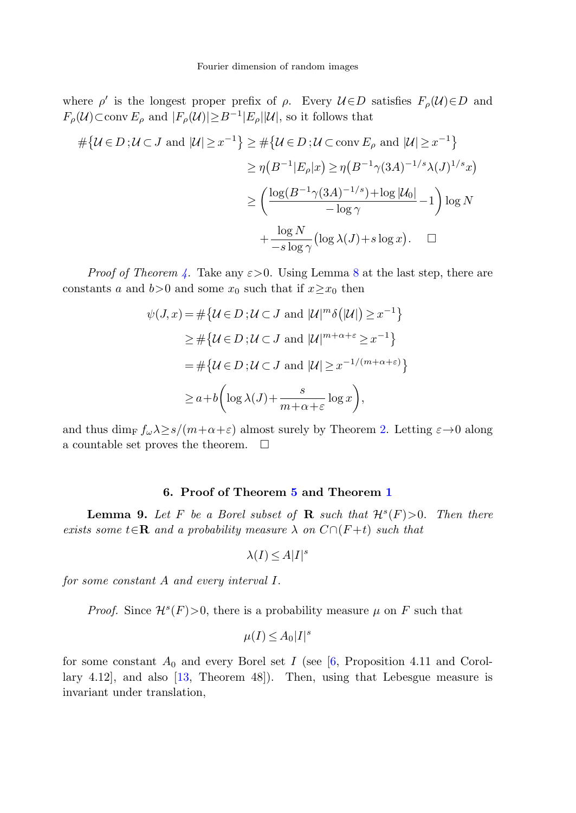where  $\rho'$  is the longest proper prefix of  $\rho$ . Every  $\mathcal{U} \in D$  satisfies  $F_{\rho}(\mathcal{U}) \in D$  and  $F_{\rho}(\mathcal{U}) \subset \text{conv } E_{\rho}$  and  $|F_{\rho}(\mathcal{U})| \geq B^{-1}|E_{\rho}||\mathcal{U}|$ , so it follows that

$$
\# \{ \mathcal{U} \in D \, ; \mathcal{U} \subset J \text{ and } |\mathcal{U}| \ge x^{-1} \} \ge \# \{ \mathcal{U} \in D \, ; \mathcal{U} \subset \text{conv } E_{\rho} \text{ and } |\mathcal{U}| \ge x^{-1} \}
$$
\n
$$
\ge \eta \left( B^{-1} | E_{\rho} | x \right) \ge \eta \left( B^{-1} \gamma (3A)^{-1/s} \lambda (J)^{1/s} x \right)
$$
\n
$$
\ge \left( \frac{\log(B^{-1} \gamma (3A)^{-1/s}) + \log |\mathcal{U}_0|}{-\log \gamma} - 1 \right) \log N
$$
\n
$$
+ \frac{\log N}{-\text{s} \log \gamma} (\log \lambda (J) + s \log x). \quad \Box
$$

*Proof of Theorem [4.](#page-5-1)* Take any  $\varepsilon > 0$ . Using Lemma [8](#page-11-0) at the last step, there are constants a and b>0 and some  $x_0$  such that if  $x \geq x_0$  then

$$
\psi(J, x) = \#\{ \mathcal{U} \in D : \mathcal{U} \subset J \text{ and } |\mathcal{U}|^m \delta(|\mathcal{U}|) \ge x^{-1} \}
$$
  
\n
$$
\ge \#\{ \mathcal{U} \in D : \mathcal{U} \subset J \text{ and } |\mathcal{U}|^{m+\alpha+\varepsilon} \ge x^{-1} \}
$$
  
\n
$$
= \#\{ \mathcal{U} \in D : \mathcal{U} \subset J \text{ and } |\mathcal{U}| \ge x^{-1/(m+\alpha+\varepsilon)} \}
$$
  
\n
$$
\ge a + b \left( \log \lambda(J) + \frac{s}{m+\alpha+\varepsilon} \log x \right),
$$

<span id="page-12-1"></span><span id="page-12-0"></span>and thus dim<sub>F</sub>  $f_{\omega} \lambda \geq s/(m+\alpha+\varepsilon)$  almost surely by Theorem [2.](#page-4-1) Letting  $\varepsilon \to 0$  along a countable set proves the theorem.  $\Box$ 

## **6. Proof of Theorem [5](#page-5-0) and Theorem [1](#page-3-0)**

**Lemma 9.** Let F be a Borel subset of **R** such that  $\mathcal{H}^s(F) > 0$ . Then there exists some  $t \in \mathbb{R}$  and a probability measure  $\lambda$  on  $C \cap (F + t)$  such that

$$
\lambda(I) \le A|I|^s
$$

for some constant A and every interval I.

*Proof.* Since  $\mathcal{H}^s(F) > 0$ , there is a probability measure  $\mu$  on F such that

$$
\mu(I) \le A_0 |I|^s
$$

for some constant  $A_0$  and every Borel set I (see [\[6](#page-16-12), Proposition 4.11 and Corollary 4.12], and also [\[13](#page-16-13), Theorem 48]). Then, using that Lebesgue measure is invariant under translation,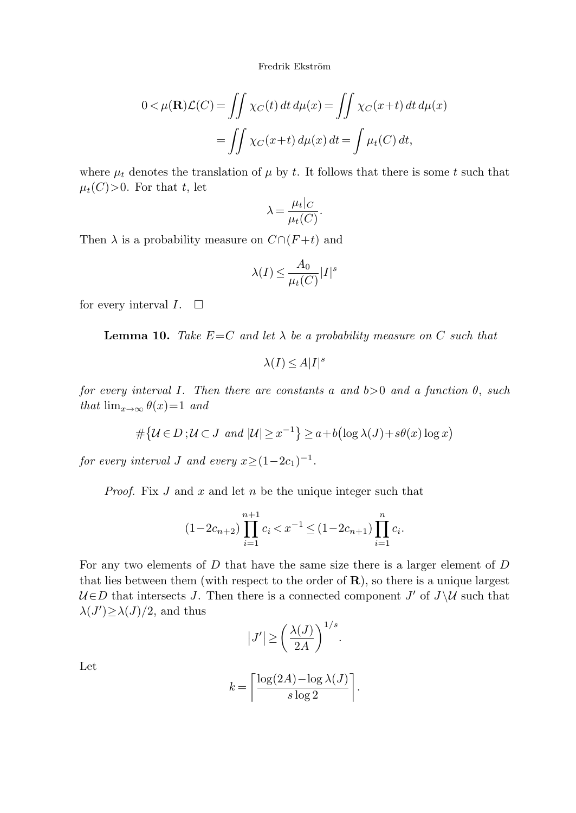$$
0 < \mu(\mathbf{R})\mathcal{L}(C) = \iint \chi_C(t) dt d\mu(x) = \iint \chi_C(x+t) dt d\mu(x)
$$

$$
= \iint \chi_C(x+t) d\mu(x) dt = \int \mu_t(C) dt,
$$

where  $\mu_t$  denotes the translation of  $\mu$  by t. It follows that there is some t such that  $\mu_t(C) > 0$ . For that t, let

$$
\lambda = \frac{\mu_t|_C}{\mu_t(C)}.
$$

<span id="page-13-0"></span>Then  $\lambda$  is a probability measure on  $C \cap (F + t)$  and

$$
\lambda(I) \le \frac{A_0}{\mu_t(C)} |I|^s
$$

for every interval  $I. \square$ 

**Lemma 10.** Take  $E=C$  and let  $\lambda$  be a probability measure on C such that

$$
\lambda(I) \le A|I|^s
$$

for every interval I. Then there are constants a and  $b>0$  and a function  $\theta$ , such that  $\lim_{x\to\infty} \theta(x)=1$  and

$$
\#\{\mathcal{U}\in D:\mathcal{U}\subset J\text{ and }|\mathcal{U}|\geq x^{-1}\}\geq a+b\left(\log\lambda(J)+s\theta(x)\log x\right)
$$

for every interval J and every  $x \ge (1-2c_1)^{-1}$ .

*Proof.* Fix  $J$  and  $x$  and let  $n$  be the unique integer such that

$$
(1-2c_{n+2})\prod_{i=1}^{n+1}c_i < x^{-1} \le (1-2c_{n+1})\prod_{i=1}^n c_i.
$$

For any two elements of D that have the same size there is a larger element of D that lies between them (with respect to the order of **R**), so there is a unique largest  $U \in D$  that intersects J. Then there is a connected component J' of  $J \setminus U$  such that  $\lambda(J') \geq \lambda(J)/2$ , and thus

$$
|J'| \ge \left(\frac{\lambda(J)}{2A}\right)^{1/s}.
$$

Let

$$
k = \left\lceil \frac{\log(2A) - \log \lambda(J)}{s \log 2} \right\rceil.
$$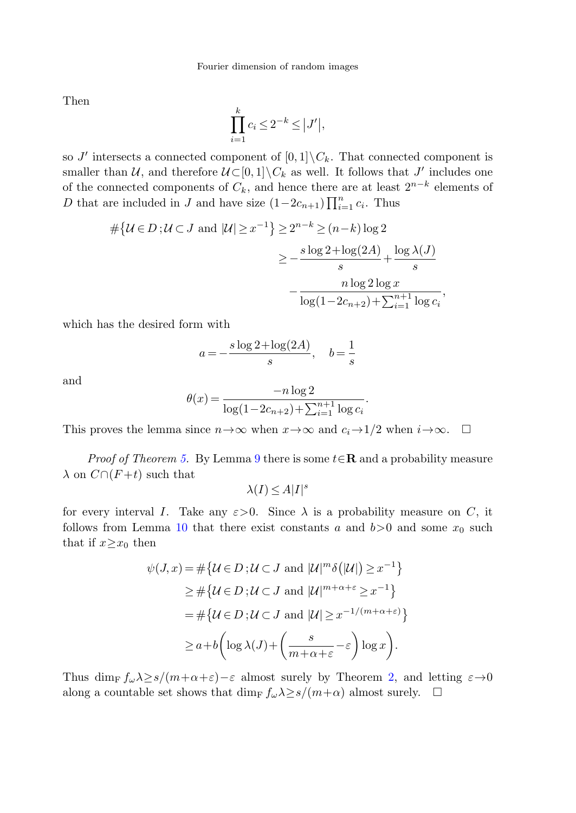Then

$$
\prod_{i=1}^k c_i \le 2^{-k} \le |J'|,
$$

so J' intersects a connected component of  $[0,1]\backslash C_k$ . That connected component is smaller than U, and therefore  $U \subset [0,1] \backslash C_k$  as well. It follows that J' includes one of the connected components of  $C_k$ , and hence there are at least  $2^{n-k}$  elements of D that are included in J and have size  $(1-2c_{n+1})\prod_{i=1}^{n}c_i$ . Thus

$$
\#\{\mathcal{U}\in D\,;\mathcal{U}\subset J\text{ and }|\mathcal{U}|\geq x^{-1}\}\geq 2^{n-k}\geq (n-k)\log 2
$$

$$
\geq -\frac{s\log 2+\log(2A)}{s}+\frac{\log\lambda(J)}{s}
$$

$$
-\frac{n\log 2\log x}{\log(1-2c_{n+2})+\sum_{i=1}^{n+1}\log c_i},
$$

which has the desired form with

$$
a = -\frac{s \log 2 + \log(2A)}{s}, \quad b = \frac{1}{s}
$$

and

$$
\theta(x) = \frac{-n \log 2}{\log(1 - 2c_{n+2}) + \sum_{i=1}^{n+1} \log c_i}.
$$

This proves the lemma since  $n \to \infty$  when  $x \to \infty$  and  $c_i \to 1/2$  when  $i \to \infty$ .  $\Box$ 

Proof of Theorem [5](#page-5-0). By Lemma [9](#page-12-1) there is some t∈**R** and a probability measure  $\lambda$  on  $C \cap (F + t)$  such that

$$
\lambda(I) \le A|I|^s
$$

for every interval I. Take any  $\varepsilon > 0$ . Since  $\lambda$  is a probability measure on C, it follows from Lemma [10](#page-13-0) that there exist constants a and  $b>0$  and some  $x_0$  such that if  $x \geq x_0$  then

$$
\psi(J, x) = \#\{ \mathcal{U} \in D \, ; \mathcal{U} \subset J \text{ and } |\mathcal{U}|^m \delta(|\mathcal{U}|) \ge x^{-1} \}
$$
\n
$$
\ge \#\{ \mathcal{U} \in D \, ; \mathcal{U} \subset J \text{ and } |\mathcal{U}|^{m+\alpha+\varepsilon} \ge x^{-1} \}
$$
\n
$$
= \#\{ \mathcal{U} \in D \, ; \mathcal{U} \subset J \text{ and } |\mathcal{U}| \ge x^{-1/(m+\alpha+\varepsilon)} \}
$$
\n
$$
\ge a + b \left( \log \lambda(J) + \left( \frac{s}{m+\alpha+\varepsilon} - \varepsilon \right) \log x \right).
$$

Thus dim<sub>F</sub>  $f_{\omega} \lambda \geq s/(m+\alpha+\varepsilon)-\varepsilon$  almost surely by Theorem [2,](#page-4-1) and letting  $\varepsilon \to 0$ along a countable set shows that dim<sub>F</sub>  $f_{\omega} \lambda \geq s/(m+\alpha)$  almost surely.  $\Box$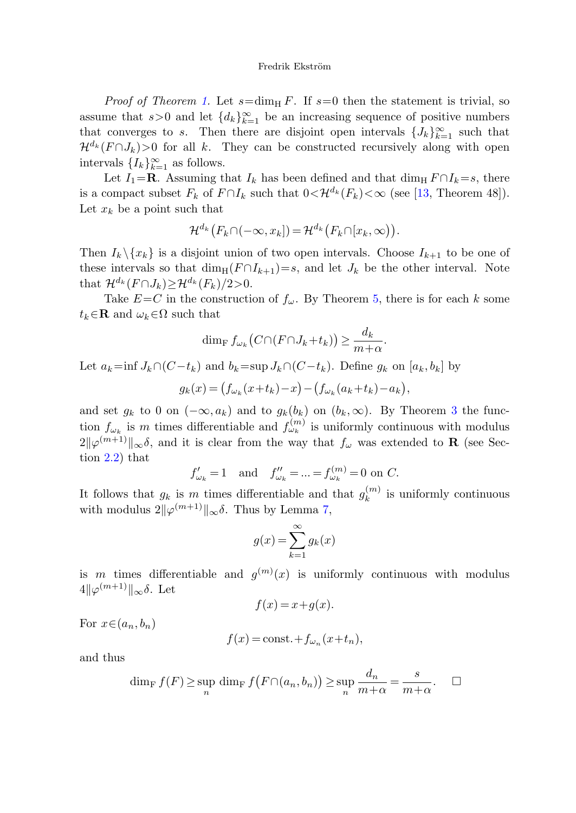*Proof of Theorem [1](#page-3-0).* Let  $s = \dim_\text{H} F$ . If  $s = 0$  then the statement is trivial, so assume that  $s > 0$  and let  ${d_k}_{k=1}^{\infty}$  be an increasing sequence of positive numbers that converges to s. Then there are disjoint open intervals  $\{J_k\}_{k=1}^{\infty}$  such that  $\mathcal{H}^{d_k}(F \cap J_k) > 0$  for all k. They can be constructed recursively along with open intervals  $\{I_k\}_{k=1}^{\infty}$  as follows.

Let  $I_1 = \mathbf{R}$ . Assuming that  $I_k$  has been defined and that dim<sub>H</sub>  $F \cap I_k = s$ , there is a compact subset  $F_k$  of  $F \cap I_k$  such that  $0 \lt \mathcal{H}^{d_k}(F_k) \lt \infty$  (see [\[13](#page-16-13), Theorem 48]). Let  $x_k$  be a point such that

$$
\mathcal{H}^{d_k}(F_k \cap (-\infty, x_k]) = \mathcal{H}^{d_k}(F_k \cap [x_k, \infty)).
$$

Then  $I_k \backslash \{x_k\}$  is a disjoint union of two open intervals. Choose  $I_{k+1}$  to be one of these intervals so that  $\dim_{\mathbb{H}}(F \cap I_{k+1})=s$ , and let  $J_k$  be the other interval. Note that  $\mathcal{H}^{d_k}(F \cap J_k) \geq \mathcal{H}^{d_k}(F_k)/2>0$ .

Take  $E=C$  in the construction of  $f_{\omega}$ . By Theorem [5,](#page-5-0) there is for each k some  $t_k \in \mathbf{R}$  and  $\omega_k \in \Omega$  such that

$$
\dim_{\mathrm{F}} f_{\omega_k}\big(C \cap (F \cap J_k + t_k)\big) \ge \frac{d_k}{m + \alpha}.
$$

Let  $a_k = \inf J_k \cap (C - t_k)$  and  $b_k = \sup J_k \cap (C - t_k)$ . Define  $g_k$  on  $[a_k, b_k]$  by

 $g_k(x) = (f_{\omega_k}(x+t_k) - x) - (f_{\omega_k}(a_k+t_k) - a_k),$ 

and set  $g_k$  to 0 on  $(-\infty, a_k)$  and to  $g_k(b_k)$  on  $(b_k, \infty)$ . By Theorem [3](#page-4-0) the function  $f_{\omega_k}$  is m times differentiable and  $f_{\omega_k}^{(m)}$  is uniformly continuous with modulus  $2\|\varphi^{(m+1)}\|_{\infty}\delta$ , and it is clear from the way that  $f_{\omega}$  was extended to **R** (see Section [2.2\)](#page-4-2) that

$$
f'_{\omega_k} = 1
$$
 and  $f''_{\omega_k} = ... = f^{(m)}_{\omega_k} = 0$  on C.

It follows that  $g_k$  is m times differentiable and that  $g_k^{(m)}$  is uniformly continuous with modulus  $2\|\varphi^{(m+1)}\|_{\infty} \delta$ . Thus by Lemma [7](#page-8-0),

$$
g(x) = \sum_{k=1}^{\infty} g_k(x)
$$

is m times differentiable and  $g^{(m)}(x)$  is uniformly continuous with modulus  $4\|\varphi^{(m+1)}\|_{\infty} \delta$ . Let

$$
f(x) = x + g(x).
$$

For  $x \in (a_n, b_n)$ 

$$
f(x) = \text{const.} + f_{\omega_n}(x + t_n),
$$

and thus

$$
\dim_{\mathrm{F}} f(F) \ge \sup_{n} \dim_{\mathrm{F}} f(F \cap (a_n, b_n)) \ge \sup_{n} \frac{d_n}{m + \alpha} = \frac{s}{m + \alpha}.\quad \Box
$$